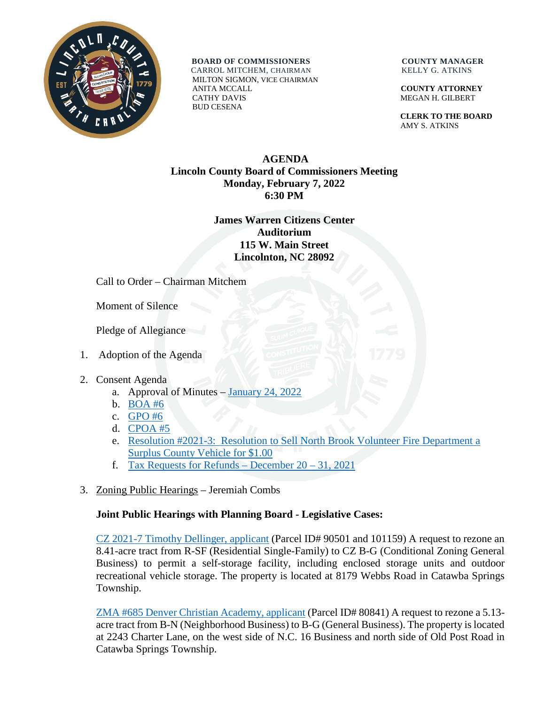

**BOARD OF COMMISSIONERS COUNTY MANAGER** 

 CARROL MITCHEM, CHAIRMAN KELLY G. ATKINS MILTON SIGMON, VICE CHAIRMAN ANITA MCCALL **COUNTY ATTORNEY** CATHY DAVIS MEGAN H. GILBERT BUD CESENA

 **CLERK TO THE BOARD** AMY S. ATKINS

## **AGENDA Lincoln County Board of Commissioners Meeting Monday, February 7, 2022 6:30 PM**

## **James Warren Citizens Center Auditorium 115 W. Main Street Lincolnton, NC 28092**

Call to Order – Chairman Mitchem

Moment of Silence

Pledge of Allegiance

- 1. Adoption of the Agenda
- 2. Consent Agenda
	- a. Approval of Minutes [January 24, 2022](https://www.lincolncounty.org/DocumentCenter/View/18493/020722Item2a)
	- b. [BOA #6](https://www.lincolncounty.org/DocumentCenter/View/18468/020722Item2c)
	- c. [GPO #6](https://www.lincolncounty.org/DocumentCenter/View/18469/020722Item2d)
	- d. [CPOA #5](https://www.lincolncounty.org/DocumentCenter/View/18470/020722Item2e)
	- e. [Resolution #2021-3: Resolution to Sell North Brook Volunteer Fire Department a](https://www.lincolncounty.org/DocumentCenter/View/18471/020722Item2f)  [Surplus County Vehicle for \\$1.00](https://www.lincolncounty.org/DocumentCenter/View/18471/020722Item2f)
	- f. [Tax Requests for Refunds –](https://www.lincolncounty.org/DocumentCenter/View/18472/020722Item2g) December  $20 31$ , 2021
- 3. Zoning Public Hearings Jeremiah Combs

## **Joint Public Hearings with Planning Board - Legislative Cases:**

[CZ 2021-7 Timothy Dellinger, applicant](https://www.lincolncounty.org/DocumentCenter/View/18473/020722Item3a) (Parcel ID# 90501 and 101159) A request to rezone an 8.41-acre tract from R-SF (Residential Single-Family) to CZ B-G (Conditional Zoning General Business) to permit a self-storage facility, including enclosed storage units and outdoor recreational vehicle storage. The property is located at 8179 Webbs Road in Catawba Springs Township.

[ZMA #685 Denver Christian Academy, applicant](https://www.lincolncounty.org/DocumentCenter/View/18474/020722Item3b) (Parcel ID# 80841) A request to rezone a 5.13 acre tract from B-N (Neighborhood Business) to B-G (General Business). The property is located at 2243 Charter Lane, on the west side of N.C. 16 Business and north side of Old Post Road in Catawba Springs Township.